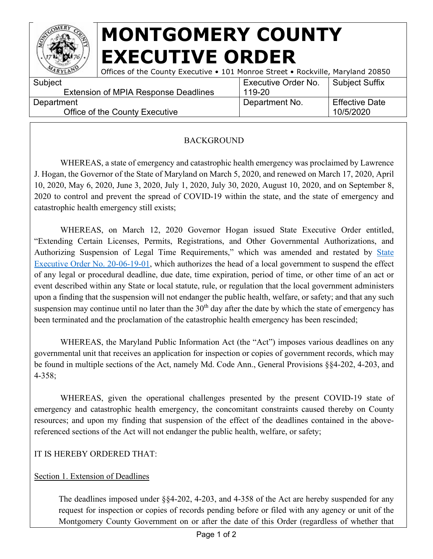

## BACKGROUND

WHEREAS, a state of emergency and catastrophic health emergency was proclaimed by Lawrence J. Hogan, the Governor of the State of Maryland on March 5, 2020, and renewed on March 17, 2020, April 10, 2020, May 6, 2020, June 3, 2020, July 1, 2020, July 30, 2020, August 10, 2020, and on September 8, 2020 to control and prevent the spread of COVID-19 within the state, and the state of emergency and catastrophic health emergency still exists;

WHEREAS, on March 12, 2020 Governor Hogan issued State Executive Order entitled, "Extending Certain Licenses, Permits, Registrations, and Other Governmental Authorizations, and Authorizing Suspension of Legal Time Requirements," which was amended and restated by State [Executive Order No. 20-06-19-01,](https://governor.maryland.gov/wp-content/uploads/2020/06/2089_001.pdf) which authorizes the head of a local government to suspend the effect of any legal or procedural deadline, due date, time expiration, period of time, or other time of an act or event described within any State or local statute, rule, or regulation that the local government administers upon a finding that the suspension will not endanger the public health, welfare, or safety; and that any such suspension may continue until no later than the  $30<sup>th</sup>$  day after the date by which the state of emergency has been terminated and the proclamation of the catastrophic health emergency has been rescinded;

WHEREAS, the Maryland Public Information Act (the "Act") imposes various deadlines on any governmental unit that receives an application for inspection or copies of government records, which may be found in multiple sections of the Act, namely Md. Code Ann., General Provisions §§4-202, 4-203, and 4-358;

WHEREAS, given the operational challenges presented by the present COVID-19 state of emergency and catastrophic health emergency, the concomitant constraints caused thereby on County resources; and upon my finding that suspension of the effect of the deadlines contained in the abovereferenced sections of the Act will not endanger the public health, welfare, or safety;

## IT IS HEREBY ORDERED THAT:

## Section 1. Extension of Deadlines

The deadlines imposed under §§4-202, 4-203, and 4-358 of the Act are hereby suspended for any request for inspection or copies of records pending before or filed with any agency or unit of the Montgomery County Government on or after the date of this Order (regardless of whether that